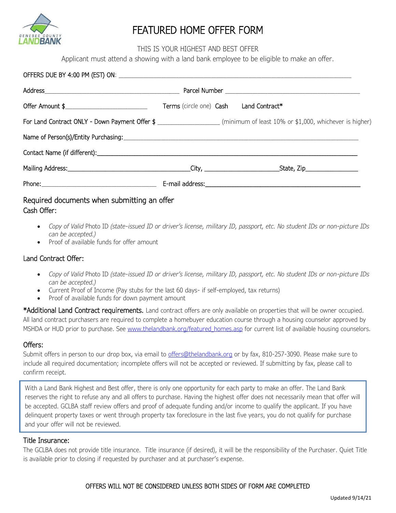

# FEATURED HOME OFFER FORM

THIS IS YOUR HIGHEST AND BEST OFFER

Applicant must attend a showing with a land bank employee to be eligible to make an offer.

| Offer Amount \$_______________________________ | Terms (circle one) Cash Land Contract* |                                                                                                                             |
|------------------------------------------------|----------------------------------------|-----------------------------------------------------------------------------------------------------------------------------|
|                                                |                                        | For Land Contract ONLY - Down Payment Offer \$ _____________________ (minimum of least 10% or \$1,000, whichever is higher) |
|                                                |                                        |                                                                                                                             |
|                                                |                                        |                                                                                                                             |
|                                                |                                        |                                                                                                                             |
|                                                |                                        |                                                                                                                             |
|                                                |                                        |                                                                                                                             |

## Required documents when submitting an offer Cash Offer:

- *Copy of Valid* Photo ID *(state-issued ID or driver's license, military ID, passport, etc. No student IDs or non-picture IDs can be accepted.)*
- Proof of available funds for offer amount

### Land Contract Offer:

- *Copy of Valid* Photo ID *(state-issued ID or driver's license, military ID, passport, etc. No student IDs or non-picture IDs can be accepted.)*
- Current Proof of Income (Pay stubs for the last 60 days- if self-employed, tax returns)
- Proof of available funds for down payment amount

\*Additional Land Contract requirements. Land contract offers are only available on properties that will be owner occupied. All land contract purchasers are required to complete a homebuyer education course through a housing counselor approved by MSHDA or HUD prior to purchase. See www.thelandbank.org/featured homes.asp for current list of available housing counselors.

#### Offers:

Submit offers in person to our drop box, via email to [offers@thelandbank.org](mailto:offers@thelandbank.org) or by fax, 810-257-3090. Please make sure to include all required documentation; incomplete offers will not be accepted or reviewed. If submitting by fax, please call to confirm receipt.

With a Land Bank Highest and Best offer, there is only one opportunity for each party to make an offer. The Land Bank reserves the right to refuse any and all offers to purchase. Having the highest offer does not necessarily mean that offer will be accepted. GCLBA staff review offers and proof of adequate funding and/or income to qualify the applicant. If you have delinquent property taxes or went through property tax foreclosure in the last five years, you do not qualify for purchase and your offer will not be reviewed.

#### Title Insurance:

The GCLBA does not provide title insurance. Title insurance (if desired), it will be the responsibility of the Purchaser. Quiet Title is available prior to closing if requested by purchaser and at purchaser's expense.

#### OFFERS WILL NOT BE CONSIDERED UNLESS BOTH SIDES OF FORM ARE COMPLETED